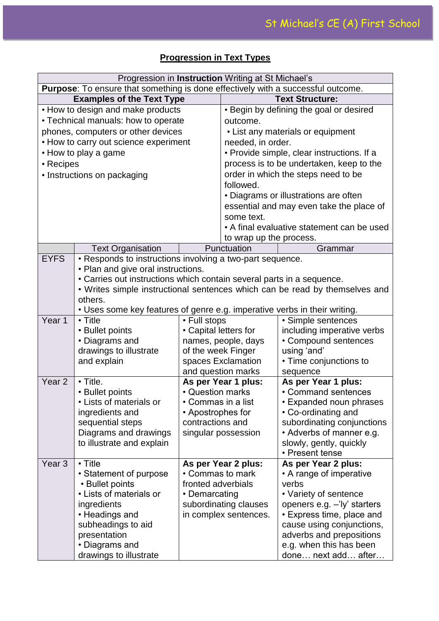|                                                                                  | Progression in Instruction Writing at St Michael's                        |                                         |                                         |                                                                             |  |
|----------------------------------------------------------------------------------|---------------------------------------------------------------------------|-----------------------------------------|-----------------------------------------|-----------------------------------------------------------------------------|--|
|                                                                                  |                                                                           |                                         |                                         |                                                                             |  |
| Purpose: To ensure that something is done effectively with a successful outcome. |                                                                           |                                         | <b>Text Structure:</b>                  |                                                                             |  |
| <b>Examples of the Text Type</b><br>• How to design and make products            |                                                                           |                                         | • Begin by defining the goal or desired |                                                                             |  |
|                                                                                  |                                                                           |                                         |                                         |                                                                             |  |
|                                                                                  | • Technical manuals: how to operate                                       |                                         | outcome.                                |                                                                             |  |
|                                                                                  | phones, computers or other devices                                        |                                         |                                         | • List any materials or equipment                                           |  |
|                                                                                  | • How to carry out science experiment                                     |                                         | needed, in order.                       |                                                                             |  |
|                                                                                  | • How to play a game                                                      |                                         |                                         | • Provide simple, clear instructions. If a                                  |  |
| • Recipes                                                                        |                                                                           |                                         |                                         | process is to be undertaken, keep to the                                    |  |
|                                                                                  | • Instructions on packaging                                               |                                         |                                         | order in which the steps need to be                                         |  |
|                                                                                  |                                                                           |                                         | followed.                               |                                                                             |  |
|                                                                                  |                                                                           |                                         |                                         | • Diagrams or illustrations are often                                       |  |
|                                                                                  |                                                                           |                                         |                                         | essential and may even take the place of                                    |  |
|                                                                                  |                                                                           |                                         | some text.                              |                                                                             |  |
|                                                                                  |                                                                           |                                         |                                         | • A final evaluative statement can be used                                  |  |
|                                                                                  |                                                                           |                                         | to wrap up the process.                 |                                                                             |  |
|                                                                                  | <b>Text Organisation</b>                                                  |                                         | Punctuation                             | Grammar                                                                     |  |
| <b>EYFS</b>                                                                      | • Responds to instructions involving a two-part sequence.                 |                                         |                                         |                                                                             |  |
|                                                                                  | • Plan and give oral instructions.                                        |                                         |                                         |                                                                             |  |
|                                                                                  | • Carries out instructions which contain several parts in a sequence.     |                                         |                                         |                                                                             |  |
|                                                                                  |                                                                           |                                         |                                         | • Writes simple instructional sentences which can be read by themselves and |  |
|                                                                                  | others.                                                                   |                                         |                                         |                                                                             |  |
|                                                                                  | • Uses some key features of genre e.g. imperative verbs in their writing. |                                         |                                         |                                                                             |  |
| Year 1                                                                           | $\cdot$ Title                                                             | • Full stops                            |                                         | • Simple sentences                                                          |  |
|                                                                                  | • Bullet points                                                           | • Capital letters for                   |                                         | including imperative verbs                                                  |  |
|                                                                                  | • Diagrams and                                                            |                                         | names, people, days                     | • Compound sentences                                                        |  |
|                                                                                  | drawings to illustrate                                                    | of the week Finger                      |                                         | using 'and'                                                                 |  |
|                                                                                  | and explain                                                               |                                         | spaces Exclamation                      | • Time conjunctions to                                                      |  |
|                                                                                  |                                                                           |                                         | and question marks                      | sequence                                                                    |  |
| Year <sub>2</sub>                                                                | $\cdot$ Title.                                                            |                                         | As per Year 1 plus:                     | As per Year 1 plus:                                                         |  |
|                                                                                  | • Bullet points                                                           | • Question marks                        |                                         | • Command sentences                                                         |  |
|                                                                                  | • Lists of materials or                                                   | $\bullet$ Commas in a list              |                                         | • Expanded noun phrases                                                     |  |
|                                                                                  | ingredients and                                                           | • Apostrophes for                       |                                         | • Co-ordinating and                                                         |  |
|                                                                                  | sequential steps                                                          | contractions and                        |                                         | subordinating conjunctions                                                  |  |
|                                                                                  | Diagrams and drawings                                                     |                                         | singular possession                     | • Adverbs of manner e.g.                                                    |  |
|                                                                                  | to illustrate and explain                                                 |                                         |                                         | slowly, gently, quickly<br>• Present tense                                  |  |
| Year <sub>3</sub>                                                                | $\cdot$ Title                                                             |                                         |                                         |                                                                             |  |
|                                                                                  | • Statement of purpose                                                    | As per Year 2 plus:<br>• Commas to mark |                                         | As per Year 2 plus:<br>• A range of imperative                              |  |
|                                                                                  | • Bullet points                                                           | fronted adverbials                      |                                         | verbs                                                                       |  |
|                                                                                  | • Lists of materials or                                                   | • Demarcating                           |                                         | • Variety of sentence                                                       |  |
|                                                                                  | ingredients                                                               |                                         | subordinating clauses                   | openers e.g. -'ly' starters                                                 |  |
|                                                                                  | • Headings and                                                            |                                         | in complex sentences.                   | • Express time, place and                                                   |  |
|                                                                                  | subheadings to aid                                                        |                                         |                                         | cause using conjunctions,                                                   |  |
|                                                                                  | presentation                                                              |                                         |                                         | adverbs and prepositions                                                    |  |
|                                                                                  | • Diagrams and                                                            |                                         |                                         | e.g. when this has been                                                     |  |
|                                                                                  | drawings to illustrate                                                    |                                         |                                         | done next add after                                                         |  |

## **Progression in Text Types**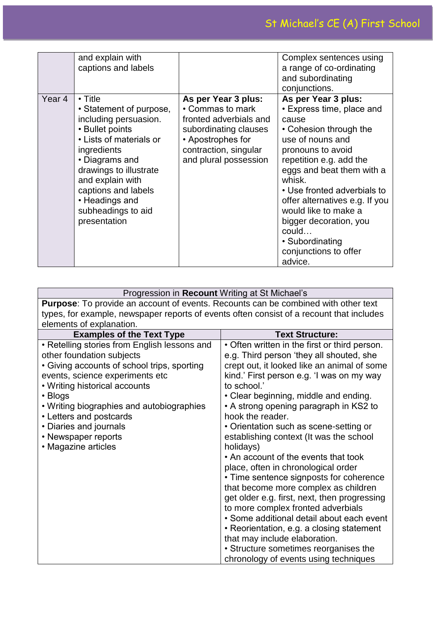|        | and explain with<br>captions and labels                                                                                                                                                                                                                                       |                                                                                                                                                                   | Complex sentences using<br>a range of co-ordinating<br>and subordinating<br>conjunctions.                                                                                                                                                                                                                                                                                         |
|--------|-------------------------------------------------------------------------------------------------------------------------------------------------------------------------------------------------------------------------------------------------------------------------------|-------------------------------------------------------------------------------------------------------------------------------------------------------------------|-----------------------------------------------------------------------------------------------------------------------------------------------------------------------------------------------------------------------------------------------------------------------------------------------------------------------------------------------------------------------------------|
| Year 4 | $\cdot$ Title<br>• Statement of purpose,<br>including persuasion.<br>• Bullet points<br>• Lists of materials or<br>ingredients<br>• Diagrams and<br>drawings to illustrate<br>and explain with<br>captions and labels<br>• Headings and<br>subheadings to aid<br>presentation | As per Year 3 plus:<br>• Commas to mark<br>fronted adverbials and<br>subordinating clauses<br>• Apostrophes for<br>contraction, singular<br>and plural possession | As per Year 3 plus:<br>• Express time, place and<br>cause<br>• Cohesion through the<br>use of nouns and<br>pronouns to avoid<br>repetition e.g. add the<br>eggs and beat them with a<br>whisk.<br>• Use fronted adverbials to<br>offer alternatives e.g. If you<br>would like to make a<br>bigger decoration, you<br>could<br>• Subordinating<br>conjunctions to offer<br>advice. |

| Progression in Recount Writing at St Michael's                                            |                                               |  |  |
|-------------------------------------------------------------------------------------------|-----------------------------------------------|--|--|
| <b>Purpose:</b> To provide an account of events. Recounts can be combined with other text |                                               |  |  |
| types, for example, newspaper reports of events often consist of a recount that includes  |                                               |  |  |
| elements of explanation.                                                                  |                                               |  |  |
| <b>Examples of the Text Type</b>                                                          | <b>Text Structure:</b>                        |  |  |
| • Retelling stories from English lessons and                                              | • Often written in the first or third person. |  |  |
| other foundation subjects                                                                 | e.g. Third person 'they all shouted, she      |  |  |
| • Giving accounts of school trips, sporting                                               | crept out, it looked like an animal of some   |  |  |
| events, science experiments etc                                                           | kind.' First person e.g. 'I was on my way     |  |  |
| • Writing historical accounts                                                             | to school.'                                   |  |  |
| • Blogs                                                                                   | • Clear beginning, middle and ending.         |  |  |
| • Writing biographies and autobiographies                                                 | • A strong opening paragraph in KS2 to        |  |  |
| • Letters and postcards                                                                   | hook the reader.                              |  |  |
| • Diaries and journals                                                                    | • Orientation such as scene-setting or        |  |  |
| • Newspaper reports                                                                       | establishing context (It was the school       |  |  |
| • Magazine articles                                                                       | holidays)                                     |  |  |
|                                                                                           | • An account of the events that took          |  |  |
|                                                                                           | place, often in chronological order           |  |  |
|                                                                                           | • Time sentence signposts for coherence       |  |  |
|                                                                                           | that become more complex as children          |  |  |
|                                                                                           | get older e.g. first, next, then progressing  |  |  |
|                                                                                           | to more complex fronted adverbials            |  |  |
|                                                                                           | • Some additional detail about each event     |  |  |
|                                                                                           | • Reorientation, e.g. a closing statement     |  |  |
|                                                                                           | that may include elaboration.                 |  |  |
|                                                                                           | • Structure sometimes reorganises the         |  |  |
|                                                                                           | chronology of events using techniques         |  |  |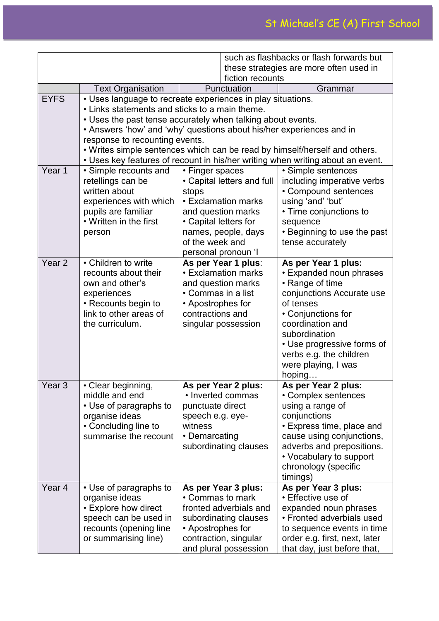|                   |                                                                                                                                                                                                                                                                                                                                                                                                                                                        | such as flashbacks or flash forwards but                                                                                                                                                      |                                                                                                                          |                                                                                                                                                                                                                                                                  |  |
|-------------------|--------------------------------------------------------------------------------------------------------------------------------------------------------------------------------------------------------------------------------------------------------------------------------------------------------------------------------------------------------------------------------------------------------------------------------------------------------|-----------------------------------------------------------------------------------------------------------------------------------------------------------------------------------------------|--------------------------------------------------------------------------------------------------------------------------|------------------------------------------------------------------------------------------------------------------------------------------------------------------------------------------------------------------------------------------------------------------|--|
|                   |                                                                                                                                                                                                                                                                                                                                                                                                                                                        | these strategies are more often used in                                                                                                                                                       |                                                                                                                          |                                                                                                                                                                                                                                                                  |  |
|                   |                                                                                                                                                                                                                                                                                                                                                                                                                                                        |                                                                                                                                                                                               | fiction recounts                                                                                                         |                                                                                                                                                                                                                                                                  |  |
|                   | <b>Text Organisation</b>                                                                                                                                                                                                                                                                                                                                                                                                                               | Punctuation<br>Grammar                                                                                                                                                                        |                                                                                                                          |                                                                                                                                                                                                                                                                  |  |
| <b>EYFS</b>       | • Uses language to recreate experiences in play situations.<br>• Links statements and sticks to a main theme.<br>• Uses the past tense accurately when talking about events.<br>• Answers 'how' and 'why' questions about his/her experiences and in<br>response to recounting events.<br>. Writes simple sentences which can be read by himself/herself and others.<br>• Uses key features of recount in his/her writing when writing about an event. |                                                                                                                                                                                               |                                                                                                                          |                                                                                                                                                                                                                                                                  |  |
| Year 1            | • Simple recounts and<br>retellings can be<br>written about<br>experiences with which<br>pupils are familiar<br>• Written in the first<br>person                                                                                                                                                                                                                                                                                                       | • Finger spaces<br>• Capital letters and full<br>stops<br>• Exclamation marks<br>and question marks<br>• Capital letters for<br>names, people, days<br>of the week and<br>personal pronoun 'I |                                                                                                                          | • Simple sentences<br>including imperative verbs<br>• Compound sentences<br>using 'and' 'but'<br>• Time conjunctions to<br>sequence<br>• Beginning to use the past<br>tense accurately                                                                           |  |
| Year <sub>2</sub> | • Children to write<br>recounts about their<br>own and other's<br>experiences<br>• Recounts begin to<br>link to other areas of<br>the curriculum.                                                                                                                                                                                                                                                                                                      | As per Year 1 plus:<br>• Exclamation marks<br>and question marks<br>• Commas in a list<br>• Apostrophes for<br>contractions and<br>singular possession                                        |                                                                                                                          | As per Year 1 plus:<br>• Expanded noun phrases<br>• Range of time<br>conjunctions Accurate use<br>of tenses<br>• Conjunctions for<br>coordination and<br>subordination<br>• Use progressive forms of<br>verbs e.g. the children<br>were playing, I was<br>hoping |  |
| Year <sub>3</sub> | • Clear beginning,<br>middle and end<br>• Use of paragraphs to<br>organise ideas<br>• Concluding line to<br>summarise the recount                                                                                                                                                                                                                                                                                                                      | As per Year 2 plus:<br>• Inverted commas<br>punctuate direct<br>speech e.g. eye-<br>witness<br>• Demarcating<br>subordinating clauses                                                         |                                                                                                                          | As per Year 2 plus:<br>• Complex sentences<br>using a range of<br>conjunctions<br>• Express time, place and<br>cause using conjunctions,<br>adverbs and prepositions.<br>• Vocabulary to support<br>chronology (specific<br>timings)                             |  |
| Year 4            | • Use of paragraphs to<br>organise ideas<br>• Explore how direct<br>speech can be used in<br>recounts (opening line<br>or summarising line)                                                                                                                                                                                                                                                                                                            | • Commas to mark<br>• Apostrophes for                                                                                                                                                         | As per Year 3 plus:<br>fronted adverbials and<br>subordinating clauses<br>contraction, singular<br>and plural possession | As per Year 3 plus:<br>• Effective use of<br>expanded noun phrases<br>• Fronted adverbials used<br>to sequence events in time<br>order e.g. first, next, later<br>that day, just before that,                                                                    |  |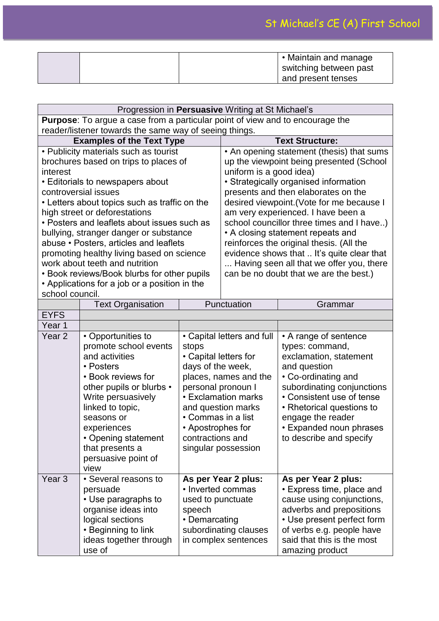|  | $\cdot$ Maintain and manage<br>switching between past |
|--|-------------------------------------------------------|
|  | and present tenses                                    |

|                                                                                                                                                                                                                                                                                                                                                                                                                                                                                                                                               | Progression in Persuasive Writing at St Michael's                                                                                                                                                                                                                            |                                                                                                                                                                                                                                                                            |                                                                                                                                                                                                                                                                                                                                                                                                                                                                                                                                                       |                                                                                                                                                                                                                                                                              |
|-----------------------------------------------------------------------------------------------------------------------------------------------------------------------------------------------------------------------------------------------------------------------------------------------------------------------------------------------------------------------------------------------------------------------------------------------------------------------------------------------------------------------------------------------|------------------------------------------------------------------------------------------------------------------------------------------------------------------------------------------------------------------------------------------------------------------------------|----------------------------------------------------------------------------------------------------------------------------------------------------------------------------------------------------------------------------------------------------------------------------|-------------------------------------------------------------------------------------------------------------------------------------------------------------------------------------------------------------------------------------------------------------------------------------------------------------------------------------------------------------------------------------------------------------------------------------------------------------------------------------------------------------------------------------------------------|------------------------------------------------------------------------------------------------------------------------------------------------------------------------------------------------------------------------------------------------------------------------------|
| Purpose: To argue a case from a particular point of view and to encourage the                                                                                                                                                                                                                                                                                                                                                                                                                                                                 |                                                                                                                                                                                                                                                                              |                                                                                                                                                                                                                                                                            |                                                                                                                                                                                                                                                                                                                                                                                                                                                                                                                                                       |                                                                                                                                                                                                                                                                              |
|                                                                                                                                                                                                                                                                                                                                                                                                                                                                                                                                               | reader/listener towards the same way of seeing things.                                                                                                                                                                                                                       |                                                                                                                                                                                                                                                                            |                                                                                                                                                                                                                                                                                                                                                                                                                                                                                                                                                       |                                                                                                                                                                                                                                                                              |
|                                                                                                                                                                                                                                                                                                                                                                                                                                                                                                                                               |                                                                                                                                                                                                                                                                              |                                                                                                                                                                                                                                                                            |                                                                                                                                                                                                                                                                                                                                                                                                                                                                                                                                                       | <b>Text Structure:</b>                                                                                                                                                                                                                                                       |
| <b>Examples of the Text Type</b><br>• Publicity materials such as tourist<br>brochures based on trips to places of<br>interest<br>• Editorials to newspapers about<br>controversial issues<br>• Letters about topics such as traffic on the<br>high street or deforestations<br>• Posters and leaflets about issues such as<br>bullying, stranger danger or substance<br>abuse • Posters, articles and leaflets<br>promoting healthy living based on science<br>work about teeth and nutrition<br>• Book reviews/Book blurbs for other pupils |                                                                                                                                                                                                                                                                              |                                                                                                                                                                                                                                                                            | • An opening statement (thesis) that sums<br>up the viewpoint being presented (School<br>uniform is a good idea)<br>• Strategically organised information<br>presents and then elaborates on the<br>desired viewpoint. (Vote for me because I<br>am very experienced. I have been a<br>school councillor three times and I have)<br>• A closing statement repeats and<br>reinforces the original thesis. (All the<br>evidence shows that  It's quite clear that<br>Having seen all that we offer you, there<br>can be no doubt that we are the best.) |                                                                                                                                                                                                                                                                              |
| • Applications for a job or a position in the<br>school council.                                                                                                                                                                                                                                                                                                                                                                                                                                                                              |                                                                                                                                                                                                                                                                              |                                                                                                                                                                                                                                                                            |                                                                                                                                                                                                                                                                                                                                                                                                                                                                                                                                                       |                                                                                                                                                                                                                                                                              |
|                                                                                                                                                                                                                                                                                                                                                                                                                                                                                                                                               | <b>Text Organisation</b>                                                                                                                                                                                                                                                     |                                                                                                                                                                                                                                                                            | Punctuation                                                                                                                                                                                                                                                                                                                                                                                                                                                                                                                                           | Grammar                                                                                                                                                                                                                                                                      |
| <b>EYFS</b>                                                                                                                                                                                                                                                                                                                                                                                                                                                                                                                                   |                                                                                                                                                                                                                                                                              |                                                                                                                                                                                                                                                                            |                                                                                                                                                                                                                                                                                                                                                                                                                                                                                                                                                       |                                                                                                                                                                                                                                                                              |
| Year 1                                                                                                                                                                                                                                                                                                                                                                                                                                                                                                                                        |                                                                                                                                                                                                                                                                              |                                                                                                                                                                                                                                                                            |                                                                                                                                                                                                                                                                                                                                                                                                                                                                                                                                                       |                                                                                                                                                                                                                                                                              |
| Year <sub>2</sub>                                                                                                                                                                                                                                                                                                                                                                                                                                                                                                                             | • Opportunities to<br>promote school events<br>and activities<br>• Posters<br>• Book reviews for<br>other pupils or blurbs •<br>Write persuasively<br>linked to topic,<br>seasons or<br>experiences<br>• Opening statement<br>that presents a<br>persuasive point of<br>view | • Capital letters and full<br>stops<br>• Capital letters for<br>days of the week,<br>places, names and the<br>personal pronoun I<br><b>• Exclamation marks</b><br>and question marks<br>• Commas in a list<br>• Apostrophes for<br>contractions and<br>singular possession |                                                                                                                                                                                                                                                                                                                                                                                                                                                                                                                                                       | • A range of sentence<br>types: command,<br>exclamation, statement<br>and question<br>• Co-ordinating and<br>subordinating conjunctions<br>• Consistent use of tense<br>• Rhetorical questions to<br>engage the reader<br>• Expanded noun phrases<br>to describe and specify |
| Year <sub>3</sub>                                                                                                                                                                                                                                                                                                                                                                                                                                                                                                                             | • Several reasons to<br>persuade<br>• Use paragraphs to<br>organise ideas into<br>logical sections<br>• Beginning to link<br>ideas together through<br>use of                                                                                                                | As per Year 2 plus:<br>• Inverted commas<br>used to punctuate<br>speech<br>• Demarcating<br>subordinating clauses<br>in complex sentences                                                                                                                                  |                                                                                                                                                                                                                                                                                                                                                                                                                                                                                                                                                       | As per Year 2 plus:<br>• Express time, place and<br>cause using conjunctions,<br>adverbs and prepositions<br>• Use present perfect form<br>of verbs e.g. people have<br>said that this is the most<br>amazing product                                                        |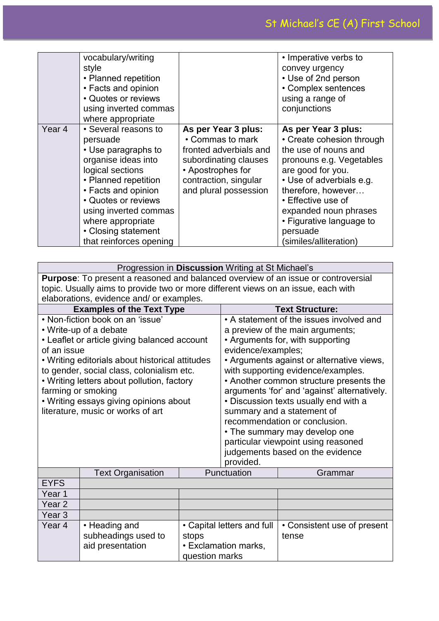|        | vocabulary/writing<br>style<br>• Planned repetition<br>• Facts and opinion<br>• Quotes or reviews<br>using inverted commas<br>where appropriate                                                                                                                          |                                                                                                                                                                   | • Imperative verbs to<br>convey urgency<br>• Use of 2nd person<br>• Complex sentences<br>using a range of<br>conjunctions                                                                                                                                                                    |
|--------|--------------------------------------------------------------------------------------------------------------------------------------------------------------------------------------------------------------------------------------------------------------------------|-------------------------------------------------------------------------------------------------------------------------------------------------------------------|----------------------------------------------------------------------------------------------------------------------------------------------------------------------------------------------------------------------------------------------------------------------------------------------|
| Year 4 | • Several reasons to<br>persuade<br>• Use paragraphs to<br>organise ideas into<br>logical sections<br>• Planned repetition<br>• Facts and opinion<br>• Quotes or reviews<br>using inverted commas<br>where appropriate<br>• Closing statement<br>that reinforces opening | As per Year 3 plus:<br>• Commas to mark<br>fronted adverbials and<br>subordinating clauses<br>• Apostrophes for<br>contraction, singular<br>and plural possession | As per Year 3 plus:<br>• Create cohesion through<br>the use of nouns and<br>pronouns e.g. Vegetables<br>are good for you.<br>• Use of adverbials e.g.<br>therefore, however<br>• Effective use of<br>expanded noun phrases<br>• Figurative language to<br>persuade<br>(similes/alliteration) |

|                                                                                                                                                                                                                                                                                                                                                                                                                  | Progression in Discussion Writing at St Michael's        |                                                                                      |                                                                                                                                                                                                                                                                                                                                                                                                                                                                                                                    |                                      |  |
|------------------------------------------------------------------------------------------------------------------------------------------------------------------------------------------------------------------------------------------------------------------------------------------------------------------------------------------------------------------------------------------------------------------|----------------------------------------------------------|--------------------------------------------------------------------------------------|--------------------------------------------------------------------------------------------------------------------------------------------------------------------------------------------------------------------------------------------------------------------------------------------------------------------------------------------------------------------------------------------------------------------------------------------------------------------------------------------------------------------|--------------------------------------|--|
| <b>Purpose:</b> To present a reasoned and balanced overview of an issue or controversial<br>topic. Usually aims to provide two or more different views on an issue, each with<br>elaborations, evidence and/ or examples.                                                                                                                                                                                        |                                                          |                                                                                      |                                                                                                                                                                                                                                                                                                                                                                                                                                                                                                                    |                                      |  |
|                                                                                                                                                                                                                                                                                                                                                                                                                  |                                                          |                                                                                      |                                                                                                                                                                                                                                                                                                                                                                                                                                                                                                                    | <b>Text Structure:</b>               |  |
| <b>Examples of the Text Type</b><br>• Non-fiction book on an 'issue'<br>• Write-up of a debate<br>• Leaflet or article giving balanced account<br>of an issue<br>• Writing editorials about historical attitudes<br>to gender, social class, colonialism etc.<br>• Writing letters about pollution, factory<br>farming or smoking<br>• Writing essays giving opinions about<br>literature, music or works of art |                                                          | evidence/examples;<br>provided.                                                      | • A statement of the issues involved and<br>a preview of the main arguments;<br>• Arguments for, with supporting<br>• Arguments against or alternative views,<br>with supporting evidence/examples.<br>• Another common structure presents the<br>arguments 'for' and 'against' alternatively.<br>• Discussion texts usually end with a<br>summary and a statement of<br>recommendation or conclusion.<br>• The summary may develop one<br>particular viewpoint using reasoned<br>judgements based on the evidence |                                      |  |
|                                                                                                                                                                                                                                                                                                                                                                                                                  | <b>Text Organisation</b>                                 |                                                                                      | Punctuation                                                                                                                                                                                                                                                                                                                                                                                                                                                                                                        | Grammar                              |  |
| <b>EYFS</b>                                                                                                                                                                                                                                                                                                                                                                                                      |                                                          |                                                                                      |                                                                                                                                                                                                                                                                                                                                                                                                                                                                                                                    |                                      |  |
| Year <sub>1</sub>                                                                                                                                                                                                                                                                                                                                                                                                |                                                          |                                                                                      |                                                                                                                                                                                                                                                                                                                                                                                                                                                                                                                    |                                      |  |
| Year <sub>2</sub>                                                                                                                                                                                                                                                                                                                                                                                                |                                                          |                                                                                      |                                                                                                                                                                                                                                                                                                                                                                                                                                                                                                                    |                                      |  |
| Year <sub>3</sub>                                                                                                                                                                                                                                                                                                                                                                                                |                                                          |                                                                                      |                                                                                                                                                                                                                                                                                                                                                                                                                                                                                                                    |                                      |  |
| Year <sub>4</sub>                                                                                                                                                                                                                                                                                                                                                                                                | • Heading and<br>subheadings used to<br>aid presentation | • Capital letters and full<br>stops<br><b>• Exclamation marks,</b><br>question marks |                                                                                                                                                                                                                                                                                                                                                                                                                                                                                                                    | • Consistent use of present<br>tense |  |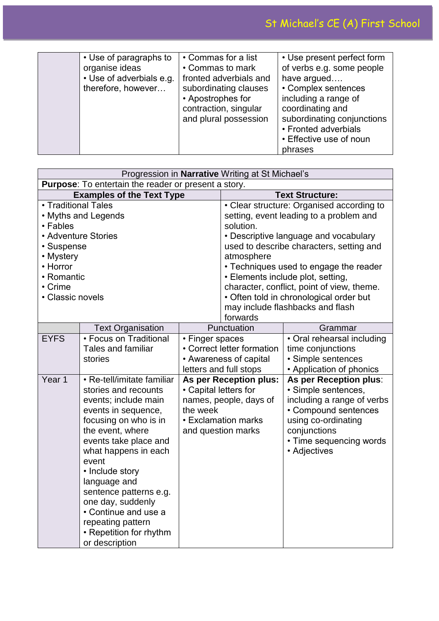| • Use of paragraphs to   | • Commas for a list    | • Use present perfect form |
|--------------------------|------------------------|----------------------------|
| organise ideas           | • Commas to mark       | of verbs e.g. some people  |
| • Use of adverbials e.g. | fronted adverbials and | have argued                |
| therefore, however       | subordinating clauses  | • Complex sentences        |
|                          | • Apostrophes for      | including a range of       |
|                          | contraction, singular  | coordinating and           |
|                          | and plural possession  | subordinating conjunctions |
|                          |                        | • Fronted adverbials       |
|                          |                        | • Effective use of noun    |
|                          |                        | phrases                    |

|                                  |                                                             |                       | Progression in Narrative Writing at St Michael's |                                                                             |
|----------------------------------|-------------------------------------------------------------|-----------------------|--------------------------------------------------|-----------------------------------------------------------------------------|
|                                  | <b>Purpose:</b> To entertain the reader or present a story. |                       |                                                  |                                                                             |
| <b>Examples of the Text Type</b> |                                                             |                       |                                                  | <b>Text Structure:</b>                                                      |
| • Traditional Tales              |                                                             |                       | • Clear structure: Organised according to        |                                                                             |
|                                  | • Myths and Legends                                         |                       |                                                  | setting, event leading to a problem and                                     |
| • Fables                         |                                                             |                       | solution.                                        |                                                                             |
|                                  | • Adventure Stories                                         |                       |                                                  | • Descriptive language and vocabulary                                       |
| • Suspense                       |                                                             |                       |                                                  | used to describe characters, setting and                                    |
| • Mystery                        |                                                             |                       | atmosphere                                       |                                                                             |
| • Horror                         |                                                             |                       |                                                  | • Techniques used to engage the reader                                      |
| • Romantic                       |                                                             |                       |                                                  | • Elements include plot, setting,                                           |
| • Crime<br>• Classic novels      |                                                             |                       |                                                  | character, conflict, point of view, theme.                                  |
|                                  |                                                             |                       |                                                  | • Often told in chronological order but<br>may include flashbacks and flash |
|                                  |                                                             |                       | forwards                                         |                                                                             |
|                                  | <b>Text Organisation</b>                                    | Punctuation           |                                                  | Grammar                                                                     |
| <b>EYFS</b>                      | • Focus on Traditional                                      | • Finger spaces       |                                                  | • Oral rehearsal including                                                  |
|                                  | <b>Tales and familiar</b>                                   |                       | • Correct letter formation                       | time conjunctions                                                           |
|                                  | stories                                                     |                       | • Awareness of capital                           | · Simple sentences                                                          |
|                                  |                                                             |                       | letters and full stops                           | • Application of phonics                                                    |
| Year <sub>1</sub>                | • Re-tell/imitate familiar                                  |                       | As per Reception plus:                           | As per Reception plus:                                                      |
|                                  | stories and recounts                                        | • Capital letters for |                                                  | · Simple sentences,                                                         |
|                                  | events; include main                                        |                       | names, people, days of                           | including a range of verbs                                                  |
|                                  | events in sequence,                                         | the week              |                                                  | • Compound sentences                                                        |
|                                  | focusing on who is in                                       |                       | • Exclamation marks                              | using co-ordinating                                                         |
|                                  | the event, where                                            |                       | and question marks                               | conjunctions                                                                |
|                                  | events take place and                                       |                       |                                                  | • Time sequencing words                                                     |
|                                  | what happens in each                                        |                       |                                                  | • Adjectives                                                                |
|                                  | event                                                       |                       |                                                  |                                                                             |
|                                  | • Include story                                             |                       |                                                  |                                                                             |
|                                  | language and                                                |                       |                                                  |                                                                             |
|                                  | sentence patterns e.g.                                      |                       |                                                  |                                                                             |
|                                  | one day, suddenly<br>• Continue and use a                   |                       |                                                  |                                                                             |
|                                  | repeating pattern                                           |                       |                                                  |                                                                             |
|                                  | • Repetition for rhythm                                     |                       |                                                  |                                                                             |
|                                  | or description                                              |                       |                                                  |                                                                             |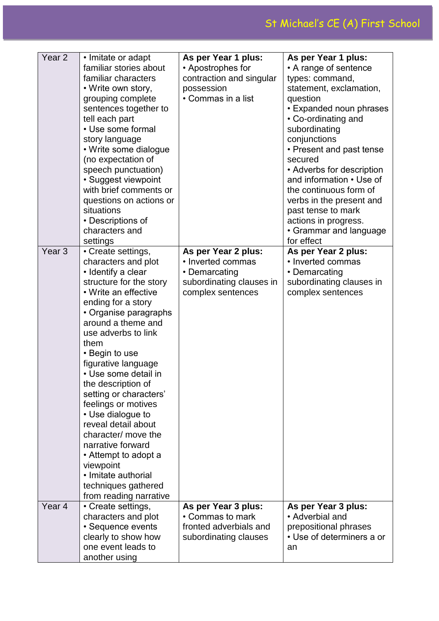| Year <sub>2</sub> | • Imitate or adapt      | As per Year 1 plus:      | As per Year 1 plus:       |
|-------------------|-------------------------|--------------------------|---------------------------|
|                   | familiar stories about  | • Apostrophes for        | • A range of sentence     |
|                   | familiar characters     |                          |                           |
|                   |                         | contraction and singular | types: command,           |
|                   | • Write own story,      | possession               | statement, exclamation,   |
|                   | grouping complete       | • Commas in a list       | question                  |
|                   | sentences together to   |                          | • Expanded noun phrases   |
|                   | tell each part          |                          | • Co-ordinating and       |
|                   | • Use some formal       |                          | subordinating             |
|                   | story language          |                          | conjunctions              |
|                   | • Write some dialogue   |                          | • Present and past tense  |
|                   | (no expectation of      |                          | secured                   |
|                   | speech punctuation)     |                          | • Adverbs for description |
|                   | · Suggest viewpoint     |                          | and information • Use of  |
|                   | with brief comments or  |                          | the continuous form of    |
|                   | questions on actions or |                          | verbs in the present and  |
|                   | situations              |                          | past tense to mark        |
|                   | • Descriptions of       |                          | actions in progress.      |
|                   | characters and          |                          | • Grammar and language    |
|                   | settings                |                          | for effect                |
| Year <sub>3</sub> | • Create settings,      | As per Year 2 plus:      | As per Year 2 plus:       |
|                   | characters and plot     | • Inverted commas        | • Inverted commas         |
|                   | • Identify a clear      | • Demarcating            | • Demarcating             |
|                   | structure for the story | subordinating clauses in | subordinating clauses in  |
|                   | • Write an effective    | complex sentences        | complex sentences         |
|                   | ending for a story      |                          |                           |
|                   | • Organise paragraphs   |                          |                           |
|                   | around a theme and      |                          |                           |
|                   | use adverbs to link     |                          |                           |
|                   | them                    |                          |                           |
|                   | • Begin to use          |                          |                           |
|                   | figurative language     |                          |                           |
|                   | • Use some detail in    |                          |                           |
|                   | the description of      |                          |                           |
|                   | setting or characters'  |                          |                           |
|                   | feelings or motives     |                          |                           |
|                   | • Use dialogue to       |                          |                           |
|                   | reveal detail about     |                          |                           |
|                   | character/ move the     |                          |                           |
|                   | narrative forward       |                          |                           |
|                   | • Attempt to adopt a    |                          |                           |
|                   | viewpoint               |                          |                           |
|                   | • Imitate authorial     |                          |                           |
|                   | techniques gathered     |                          |                           |
|                   | from reading narrative  |                          |                           |
| Year <sub>4</sub> | • Create settings,      | As per Year 3 plus:      | As per Year 3 plus:       |
|                   | characters and plot     | • Commas to mark         | • Adverbial and           |
|                   | • Sequence events       | fronted adverbials and   | prepositional phrases     |
|                   | clearly to show how     | subordinating clauses    | • Use of determiners a or |
|                   | one event leads to      |                          | an                        |
|                   | another using           |                          |                           |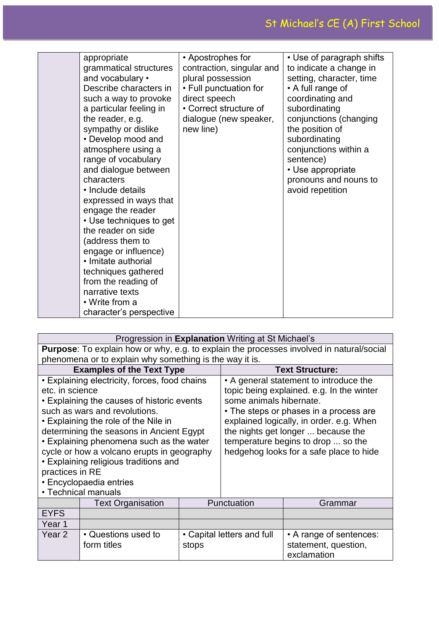| appropriate<br>grammatical structures<br>and vocabulary •<br>Describe characters in<br>such a way to provoke<br>a particular feeling in<br>the reader, e.g.<br>sympathy or dislike<br>• Develop mood and<br>atmosphere using a<br>range of vocabulary<br>and dialogue between<br>characters<br>• Include details<br>expressed in ways that<br>engage the reader<br>• Use techniques to get<br>the reader on side<br>(address them to<br>engage or influence)<br>• Imitate authorial<br>techniques gathered<br>from the reading of<br>narrative texts<br>• Write from a | • Apostrophes for<br>contraction, singular and<br>plural possession<br>• Full punctuation for<br>direct speech<br>• Correct structure of<br>dialogue (new speaker,<br>new line) | • Use of paragraph shifts<br>to indicate a change in<br>setting, character, time<br>• A full range of<br>coordinating and<br>subordinating<br>conjunctions (changing<br>the position of<br>subordinating<br>conjunctions within a<br>sentence)<br>• Use appropriate<br>pronouns and nouns to<br>avoid repetition |
|------------------------------------------------------------------------------------------------------------------------------------------------------------------------------------------------------------------------------------------------------------------------------------------------------------------------------------------------------------------------------------------------------------------------------------------------------------------------------------------------------------------------------------------------------------------------|---------------------------------------------------------------------------------------------------------------------------------------------------------------------------------|------------------------------------------------------------------------------------------------------------------------------------------------------------------------------------------------------------------------------------------------------------------------------------------------------------------|
|------------------------------------------------------------------------------------------------------------------------------------------------------------------------------------------------------------------------------------------------------------------------------------------------------------------------------------------------------------------------------------------------------------------------------------------------------------------------------------------------------------------------------------------------------------------------|---------------------------------------------------------------------------------------------------------------------------------------------------------------------------------|------------------------------------------------------------------------------------------------------------------------------------------------------------------------------------------------------------------------------------------------------------------------------------------------------------------|

| Progression in <b>Explanation</b> Writing at St Michael's                                       |                                               |                                           |                        |                                        |
|-------------------------------------------------------------------------------------------------|-----------------------------------------------|-------------------------------------------|------------------------|----------------------------------------|
| <b>Purpose:</b> To explain how or why, e.g. to explain the processes involved in natural/social |                                               |                                           |                        |                                        |
| phenomena or to explain why something is the way it is.                                         |                                               |                                           |                        |                                        |
| <b>Examples of the Text Type</b>                                                                |                                               |                                           | <b>Text Structure:</b> |                                        |
|                                                                                                 | • Explaining electricity, forces, food chains |                                           |                        | • A general statement to introduce the |
| etc. in science                                                                                 |                                               | topic being explained. e.g. In the winter |                        |                                        |
| • Explaining the causes of historic events                                                      |                                               | some animals hibernate.                   |                        |                                        |
| such as wars and revolutions.                                                                   |                                               | • The steps or phases in a process are    |                        |                                        |
| • Explaining the role of the Nile in                                                            |                                               | explained logically, in order. e.g. When  |                        |                                        |
| determining the seasons in Ancient Egypt                                                        |                                               | the nights get longer  because the        |                        |                                        |
| • Explaining phenomena such as the water                                                        |                                               | temperature begins to drop  so the        |                        |                                        |
| cycle or how a volcano erupts in geography                                                      |                                               | hedgehog looks for a safe place to hide   |                        |                                        |
| • Explaining religious traditions and                                                           |                                               |                                           |                        |                                        |
| practices in RE                                                                                 |                                               |                                           |                        |                                        |
| • Encyclopaedia entries                                                                         |                                               |                                           |                        |                                        |
| • Technical manuals                                                                             |                                               |                                           |                        |                                        |
|                                                                                                 | <b>Text Organisation</b>                      |                                           | Punctuation            | Grammar                                |
| <b>EYFS</b>                                                                                     |                                               |                                           |                        |                                        |
| Year 1                                                                                          |                                               |                                           |                        |                                        |
| Year 2                                                                                          | • Questions used to                           | • Capital letters and full                |                        | • A range of sentences:                |
|                                                                                                 | form titles                                   | stops                                     |                        | statement, question,                   |
|                                                                                                 |                                               |                                           |                        | exclamation                            |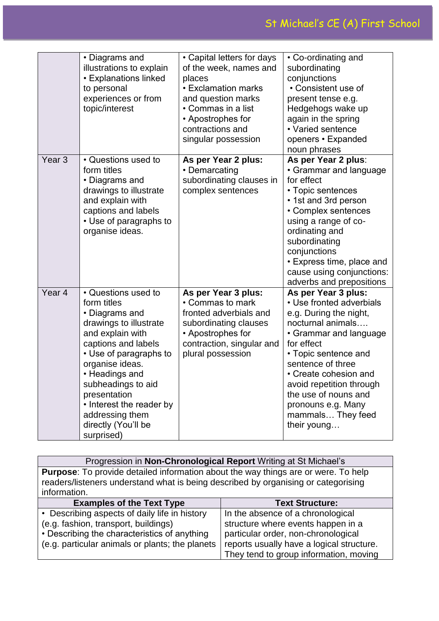|                   | • Diagrams and<br>illustrations to explain<br>• Explanations linked<br>to personal<br>experiences or from<br>topic/interest                                                                                                                                                                                        | • Capital letters for days<br>of the week, names and<br>places<br>• Exclamation marks<br>and question marks<br>• Commas in a list<br>• Apostrophes for<br>contractions and<br>singular possession | • Co-ordinating and<br>subordinating<br>conjunctions<br>• Consistent use of<br>present tense e.g.<br>Hedgehogs wake up<br>again in the spring<br>• Varied sentence<br>openers • Expanded<br>noun phrases                                                                                                                   |
|-------------------|--------------------------------------------------------------------------------------------------------------------------------------------------------------------------------------------------------------------------------------------------------------------------------------------------------------------|---------------------------------------------------------------------------------------------------------------------------------------------------------------------------------------------------|----------------------------------------------------------------------------------------------------------------------------------------------------------------------------------------------------------------------------------------------------------------------------------------------------------------------------|
| Year <sub>3</sub> | • Questions used to<br>form titles<br>• Diagrams and<br>drawings to illustrate<br>and explain with<br>captions and labels<br>• Use of paragraphs to<br>organise ideas.                                                                                                                                             | As per Year 2 plus:<br>• Demarcating<br>subordinating clauses in<br>complex sentences                                                                                                             | As per Year 2 plus:<br>• Grammar and language<br>for effect<br>• Topic sentences<br>• 1st and 3rd person<br>• Complex sentences<br>using a range of co-<br>ordinating and<br>subordinating<br>conjunctions<br>• Express time, place and<br>cause using conjunctions:<br>adverbs and prepositions                           |
| Year <sub>4</sub> | • Questions used to<br>form titles<br>• Diagrams and<br>drawings to illustrate<br>and explain with<br>captions and labels<br>• Use of paragraphs to<br>organise ideas.<br>• Headings and<br>subheadings to aid<br>presentation<br>• Interest the reader by<br>addressing them<br>directly (You'll be<br>surprised) | As per Year 3 plus:<br>• Commas to mark<br>fronted adverbials and<br>subordinating clauses<br>• Apostrophes for<br>contraction, singular and<br>plural possession                                 | As per Year 3 plus:<br>• Use fronted adverbials<br>e.g. During the night,<br>nocturnal animals<br>• Grammar and language<br>for effect<br>• Topic sentence and<br>sentence of three<br>• Create cohesion and<br>avoid repetition through<br>the use of nouns and<br>pronouns e.g. Many<br>mammals They feed<br>their young |

| Progression in Non-Chronological Report Writing at St Michael's                           |                        |  |
|-------------------------------------------------------------------------------------------|------------------------|--|
| <b>Purpose:</b> To provide detailed information about the way things are or were. To help |                        |  |
| readers/listeners understand what is being described by organising or categorising        |                        |  |
| information.                                                                              |                        |  |
| <b>Examples of the Text Type</b>                                                          | <b>Text Structure:</b> |  |

| <b>Examples of the Text Type</b>                | <b>Text Structure:</b>                    |
|-------------------------------------------------|-------------------------------------------|
| • Describing aspects of daily life in history   | In the absence of a chronological         |
| (e.g. fashion, transport, buildings)            | structure where events happen in a        |
| • Describing the characteristics of anything    | particular order, non-chronological       |
| (e.g. particular animals or plants; the planets | reports usually have a logical structure. |
|                                                 | They tend to group information, moving    |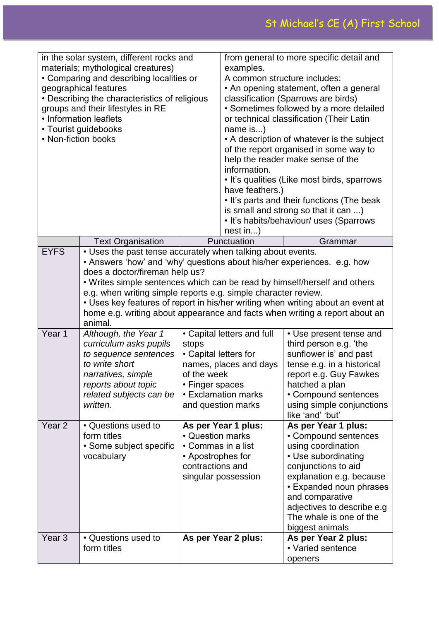| in the solar system, different rocks and<br>materials; mythological creatures)<br>• Comparing and describing localities or<br>geographical features<br>• Describing the characteristics of religious<br>groups and their lifestyles in RE<br>• Information leaflets<br>• Tourist guidebooks<br>• Non-fiction books |                                                                                                                                                                                                                            | from general to more specific detail and<br>examples.<br>A common structure includes:<br>• An opening statement, often a general<br>classification (Sparrows are birds)<br>• Sometimes followed by a more detailed<br>or technical classification (Their Latin<br>name is)<br>• A description of whatever is the subject<br>of the report organised in some way to<br>help the reader make sense of the<br>information.<br>• It's qualities (Like most birds, sparrows<br>have feathers.)<br>• It's parts and their functions (The beak<br>is small and strong so that it can )<br>• It's habits/behaviour/ uses (Sparrows                                                                                                                                                                  |                                                                  |                                                                                                                                                                                                                                                                                                                        |
|--------------------------------------------------------------------------------------------------------------------------------------------------------------------------------------------------------------------------------------------------------------------------------------------------------------------|----------------------------------------------------------------------------------------------------------------------------------------------------------------------------------------------------------------------------|---------------------------------------------------------------------------------------------------------------------------------------------------------------------------------------------------------------------------------------------------------------------------------------------------------------------------------------------------------------------------------------------------------------------------------------------------------------------------------------------------------------------------------------------------------------------------------------------------------------------------------------------------------------------------------------------------------------------------------------------------------------------------------------------|------------------------------------------------------------------|------------------------------------------------------------------------------------------------------------------------------------------------------------------------------------------------------------------------------------------------------------------------------------------------------------------------|
|                                                                                                                                                                                                                                                                                                                    |                                                                                                                                                                                                                            |                                                                                                                                                                                                                                                                                                                                                                                                                                                                                                                                                                                                                                                                                                                                                                                             | nest in)                                                         |                                                                                                                                                                                                                                                                                                                        |
|                                                                                                                                                                                                                                                                                                                    | <b>Text Organisation</b>                                                                                                                                                                                                   |                                                                                                                                                                                                                                                                                                                                                                                                                                                                                                                                                                                                                                                                                                                                                                                             | Punctuation                                                      | Grammar                                                                                                                                                                                                                                                                                                                |
| <b>EYFS</b><br>Year 1                                                                                                                                                                                                                                                                                              | does a doctor/fireman help us?<br>animal.<br>Although, the Year 1<br>curriculum asks pupils<br>to sequence sentences<br>to write short<br>narratives, simple<br>reports about topic<br>related subjects can be<br>written. | . Uses the past tense accurately when talking about events.<br>• Answers 'how' and 'why' questions about his/her experiences. e.g. how<br>. Writes simple sentences which can be read by himself/herself and others<br>e.g. when writing simple reports e.g. simple character review.<br>• Uses key features of report in his/her writing when writing about an event at<br>home e.g. writing about appearance and facts when writing a report about an<br>• Capital letters and full<br>• Use present tense and<br>third person e.g. 'the<br>stops<br>sunflower is' and past<br>• Capital letters for<br>names, places and days<br>tense e.g. in a historical<br>of the week<br>report e.g. Guy Fawkes<br>• Finger spaces<br>hatched a plan<br>• Exclamation marks<br>• Compound sentences |                                                                  |                                                                                                                                                                                                                                                                                                                        |
| Year <sub>2</sub>                                                                                                                                                                                                                                                                                                  | • Questions used to<br>form titles<br>• Some subject specific<br>vocabulary                                                                                                                                                | • Question marks<br>• Commas in a list<br>• Apostrophes for<br>contractions and                                                                                                                                                                                                                                                                                                                                                                                                                                                                                                                                                                                                                                                                                                             | and question marks<br>As per Year 1 plus:<br>singular possession | using simple conjunctions<br>like 'and' 'but'<br>As per Year 1 plus:<br>• Compound sentences<br>using coordination<br>• Use subordinating<br>conjunctions to aid<br>explanation e.g. because<br>• Expanded noun phrases<br>and comparative<br>adjectives to describe e.g<br>The whale is one of the<br>biggest animals |
| Year <sub>3</sub>                                                                                                                                                                                                                                                                                                  | • Questions used to<br>form titles                                                                                                                                                                                         |                                                                                                                                                                                                                                                                                                                                                                                                                                                                                                                                                                                                                                                                                                                                                                                             | As per Year 2 plus:                                              | As per Year 2 plus:<br>• Varied sentence<br>openers                                                                                                                                                                                                                                                                    |